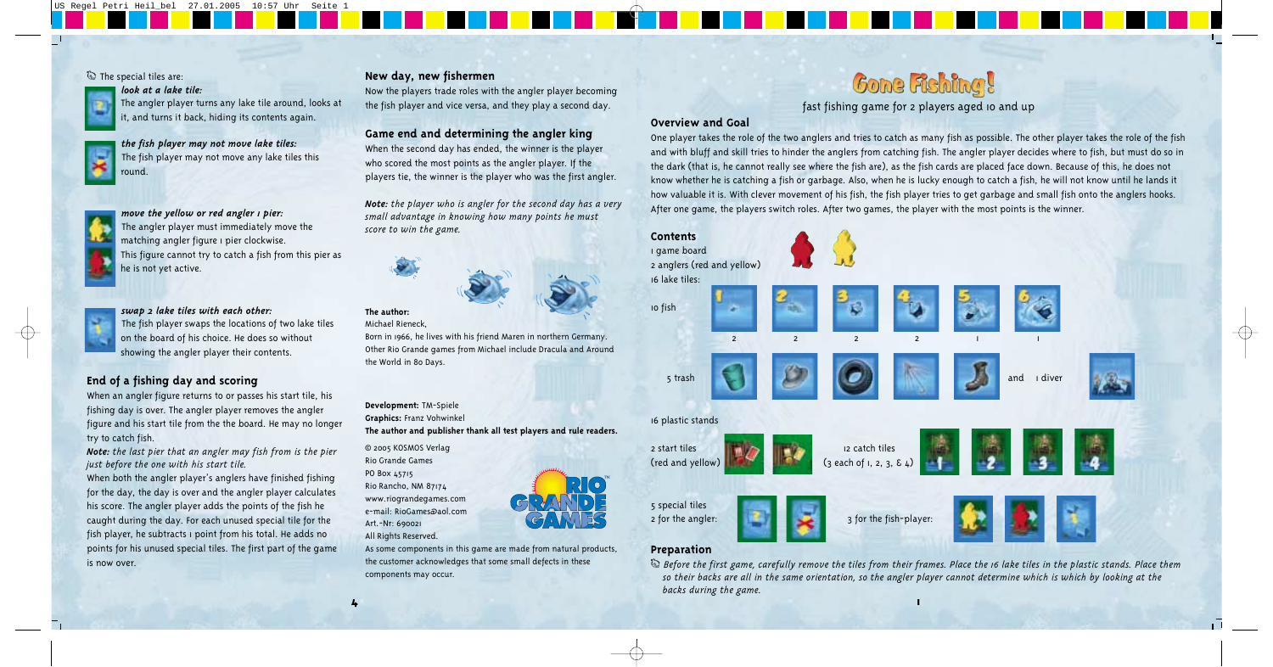fast fishing game for 2 players aged 10 and up

# **Overview and Goal**

One player takes the role of the two anglers and tries to catch as many fish as possible. The other player takes the role of the fish and with bluff and skill tries to hinder the anglers from catching fish. The angler player decides where to fish, but must do so in the dark (that is, he cannot really see where the fish are), as the fish cards are placed face down. Because of this, he does not know whether he is catching a fish or garbage. Also, when he is lucky enough to catch a fish, he will not know until he lands it how valuable it is. With clever movement of his fish, the fish player tries to get garbage and small fish onto the anglers hooks. After one game, the players switch roles. After two games, the player with the most points is the winner.

# **Preparation**

# *look at a lake tile:*



*the fish player may not move lake tiles:*  The fish player may not move any lake tiles this round.

#### *move the yellow or red angler 1 pier:*

The angler player must immediately move the matching angler figure 1 pier clockwise. This figure cannot try to catch a fish from this pier as he is not yet active.



### *swap 2 lake tiles with each other:*

The fish player swaps the locations of two lake tiles on the board of his choice. He does so without showing the angler player their contents.

# **End of a fishing day and scoring**

When an angler figure returns to or passes his start tile, his fishing day is over. The angler player removes the angler figure and his start tile from the the board. He may no longer try to catch fish.

*Note: the last pier that an angler may fish from is the pier just before the one with his start tile.* 



T *Before the first game, carefully remove the tiles from their frames. Place the 16 lake tiles in the plastic stands. Place them so their backs are all in the same orientation, so the angler player cannot determine which is which by looking at the backs during the game.*  **4 1**



When both the angler player's anglers have finished fishing for the day, the day is over and the angler player calculates his score. The angler player adds the points of the fish he caught during the day. For each unused special tile for the fish player, he subtracts 1 point from his total. He adds no points for his unused special tiles. The first part of the game is now over.

# **New day, new fishermen**

Now the players trade roles with the angler player becoming the fish player and vice versa, and they play a second day.

### **Game end and determining the angler king**

When the second day has ended, the winner is the player who scored the most points as the angler player. If the players tie, the winner is the player who was the first angler.

*Note: the player who is angler for the second day has a very small advantage in knowing how many points he must score to win the game.* 



#### **The author:**  Michael Rieneck,



#### **Development:** TM-Spiele

**Graphics:** Franz Vohwinkel

**The author and publisher thank all test players and rule readers.** 

© 2005 KOSMOS Verlag Rio Grande Games PO Box 45715 Rio Rancho, NM 87174 www.riograndegames.com e-mail: RioGames@aol.com Art.-Nr: 690021 All Rights Reserved.

As some components in this game are made from natural products, the customer acknowledges that some small defects in these components may occur.

# **Gone Rishing!**

### The special tiles are: